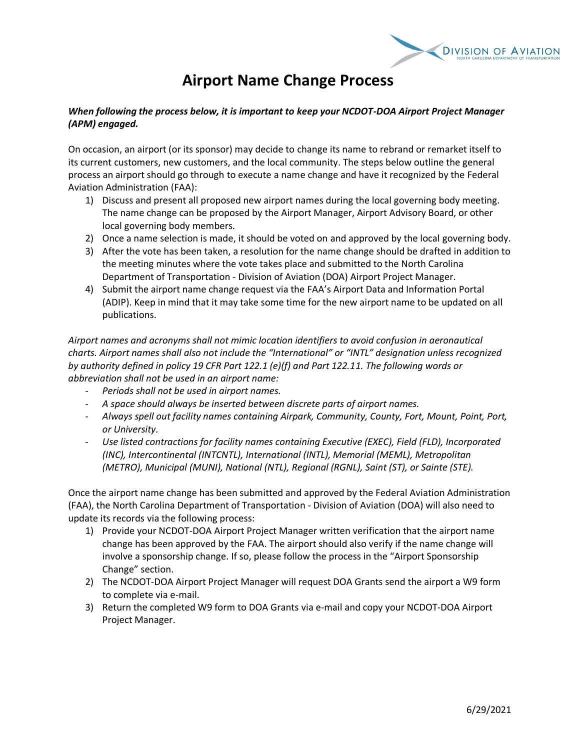

## **Airport Name Change Process**

## *When following the process below, it is important to keep your NCDOT-DOA Airport Project Manager (APM) engaged.*

On occasion, an airport (or its sponsor) may decide to change its name to rebrand or remarket itself to its current customers, new customers, and the local community. The steps below outline the general process an airport should go through to execute a name change and have it recognized by the Federal Aviation Administration (FAA):

- 1) Discuss and present all proposed new airport names during the local governing body meeting. The name change can be proposed by the Airport Manager, Airport Advisory Board, or other local governing body members.
- 2) Once a name selection is made, it should be voted on and approved by the local governing body.
- 3) After the vote has been taken, a resolution for the name change should be drafted in addition to the meeting minutes where the vote takes place and submitted to the North Carolina Department of Transportation - Division of Aviation (DOA) Airport Project Manager.
- 4) Submit the airport name change request via the FAA's Airport Data and Information Portal (ADIP). Keep in mind that it may take some time for the new airport name to be updated on all publications.

*Airport names and acronyms shall not mimic location identifiers to avoid confusion in aeronautical charts. Airport names shall also not include the "International" or "INTL" designation unless recognized by authority defined in policy 19 CFR Part 122.1 (e)(f) and Part 122.11. The following words or abbreviation shall not be used in an airport name:*

- *Periods shall not be used in airport names.*
- *A space should always be inserted between discrete parts of airport names.*
- *Always spell out facility names containing Airpark, Community, County, Fort, Mount, Point, Port, or University.*
- *Use listed contractions for facility names containing Executive (EXEC), Field (FLD), Incorporated (INC), Intercontinental (INTCNTL), International (INTL), Memorial (MEML), Metropolitan (METRO), Municipal (MUNI), National (NTL), Regional (RGNL), Saint (ST), or Sainte (STE).*

Once the airport name change has been submitted and approved by the Federal Aviation Administration (FAA), the North Carolina Department of Transportation - Division of Aviation (DOA) will also need to update its records via the following process:

- 1) Provide your NCDOT-DOA Airport Project Manager written verification that the airport name change has been approved by the FAA. The airport should also verify if the name change will involve a sponsorship change. If so, please follow the process in the "Airport Sponsorship Change" section.
- 2) The NCDOT-DOA Airport Project Manager will request DOA Grants send the airport a W9 form to complete via e-mail.
- 3) Return the completed W9 form to DOA Grants via e-mail and copy your NCDOT-DOA Airport Project Manager.